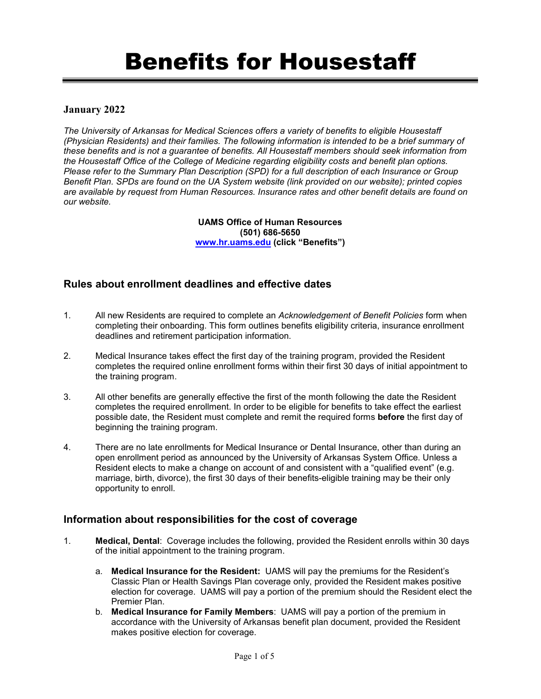# Benefits for Housestaff

#### **January 2022**

*The University of Arkansas for Medical Sciences offers a variety of benefits to eligible Housestaff (Physician Residents) and their families. The following information is intended to be a brief summary of these benefits and is not a guarantee of benefits. All Housestaff members should seek information from the Housestaff Office of the College of Medicine regarding eligibility costs and benefit plan options. Please refer to the Summary Plan Description (SPD) for a full description of each Insurance or Group Benefit Plan. SPDs are found on the UA System website (link provided on our website); printed copies are available by request from Human Resources. Insurance rates and other benefit details are found on our website.* 

> **UAMS Office of Human Resources (501) 686-5650 [www.hr.uams.edu](http://www.hr.uams.edu/) (click "Benefits")**

#### **Rules about enrollment deadlines and effective dates**

- 1. All new Residents are required to complete an *Acknowledgement of Benefit Policies* form when completing their onboarding. This form outlines benefits eligibility criteria, insurance enrollment deadlines and retirement participation information.
- 2. Medical Insurance takes effect the first day of the training program, provided the Resident completes the required online enrollment forms within their first 30 days of initial appointment to the training program.
- 3. All other benefits are generally effective the first of the month following the date the Resident completes the required enrollment. In order to be eligible for benefits to take effect the earliest possible date, the Resident must complete and remit the required forms **before** the first day of beginning the training program.
- 4. There are no late enrollments for Medical Insurance or Dental Insurance, other than during an open enrollment period as announced by the University of Arkansas System Office. Unless a Resident elects to make a change on account of and consistent with a "qualified event" (e.g. marriage, birth, divorce), the first 30 days of their benefits-eligible training may be their only opportunity to enroll.

#### **Information about responsibilities for the cost of coverage**

- 1. **Medical, Dental**: Coverage includes the following, provided the Resident enrolls within 30 days of the initial appointment to the training program.
	- a. **Medical Insurance for the Resident:** UAMS will pay the premiums for the Resident's Classic Plan or Health Savings Plan coverage only, provided the Resident makes positive election for coverage. UAMS will pay a portion of the premium should the Resident elect the Premier Plan.
	- b. **Medical Insurance for Family Members**: UAMS will pay a portion of the premium in accordance with the University of Arkansas benefit plan document, provided the Resident makes positive election for coverage.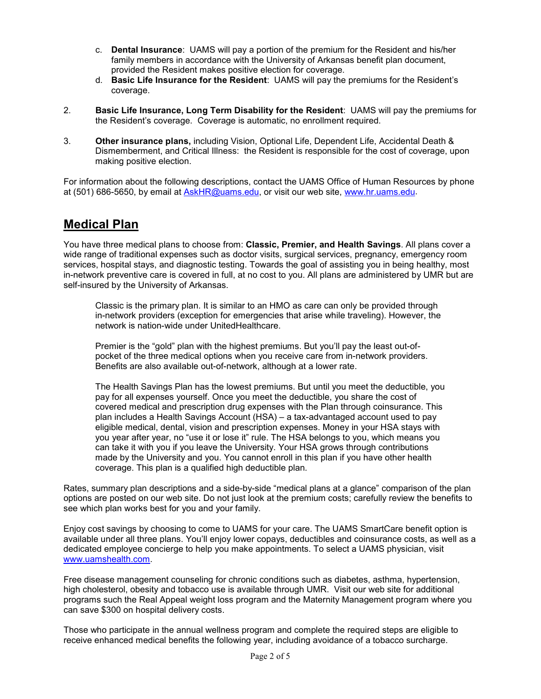- c. **Dental Insurance**: UAMS will pay a portion of the premium for the Resident and his/her family members in accordance with the University of Arkansas benefit plan document, provided the Resident makes positive election for coverage.
- d. **Basic Life Insurance for the Resident**: UAMS will pay the premiums for the Resident's coverage.
- 2. **Basic Life Insurance, Long Term Disability for the Resident**: UAMS will pay the premiums for the Resident's coverage. Coverage is automatic, no enrollment required.
- 3. **Other insurance plans,** including Vision, Optional Life, Dependent Life, Accidental Death & Dismemberment, and Critical Illness: the Resident is responsible for the cost of coverage, upon making positive election.

For information about the following descriptions, contact the UAMS Office of Human Resources by phone at (501) 686-5650, by email at [AskHR@uams.edu,](mailto:AskHR@uams.edu) or visit our web site, [www.hr.uams.edu.](http://www.hr.uams.edu/)

## **Medical Plan**

You have three medical plans to choose from: **Classic, Premier, and Health Savings**. All plans cover a wide range of traditional expenses such as doctor visits, surgical services, pregnancy, emergency room services, hospital stays, and diagnostic testing. Towards the goal of assisting you in being healthy, most in-network preventive care is covered in full, at no cost to you. All plans are administered by UMR but are self-insured by the University of Arkansas.

Classic is the primary plan. It is similar to an HMO as care can only be provided through in-network providers (exception for emergencies that arise while traveling). However, the network is nation-wide under UnitedHealthcare.

Premier is the "gold" plan with the highest premiums. But you'll pay the least out-ofpocket of the three medical options when you receive care from in-network providers. Benefits are also available out-of-network, although at a lower rate.

The Health Savings Plan has the lowest premiums. But until you meet the deductible, you pay for all expenses yourself. Once you meet the deductible, you share the cost of covered medical and prescription drug expenses with the Plan through coinsurance. This plan includes a Health Savings Account (HSA) – a tax-advantaged account used to pay eligible medical, dental, vision and prescription expenses. Money in your HSA stays with you year after year, no "use it or lose it" rule. The HSA belongs to you, which means you can take it with you if you leave the University. Your HSA grows through contributions made by the University and you. You cannot enroll in this plan if you have other health coverage. This plan is a qualified high deductible plan.

Rates, summary plan descriptions and a side-by-side "medical plans at a glance" comparison of the plan options are posted on our web site. Do not just look at the premium costs; carefully review the benefits to see which plan works best for you and your family.

Enjoy cost savings by choosing to come to UAMS for your care. The UAMS SmartCare benefit option is available under all three plans. You'll enjoy lower copays, deductibles and coinsurance costs, as well as a dedicated employee concierge to help you make appointments. To select a UAMS physician, visit [www.uamshealth.com.](http://www.uamshealth.com/)

Free disease management counseling for chronic conditions such as diabetes, asthma, hypertension, high cholesterol, obesity and tobacco use is available through UMR. Visit our web site for additional programs such the Real Appeal weight loss program and the Maternity Management program where you can save \$300 on hospital delivery costs.

Those who participate in the annual wellness program and complete the required steps are eligible to receive enhanced medical benefits the following year, including avoidance of a tobacco surcharge.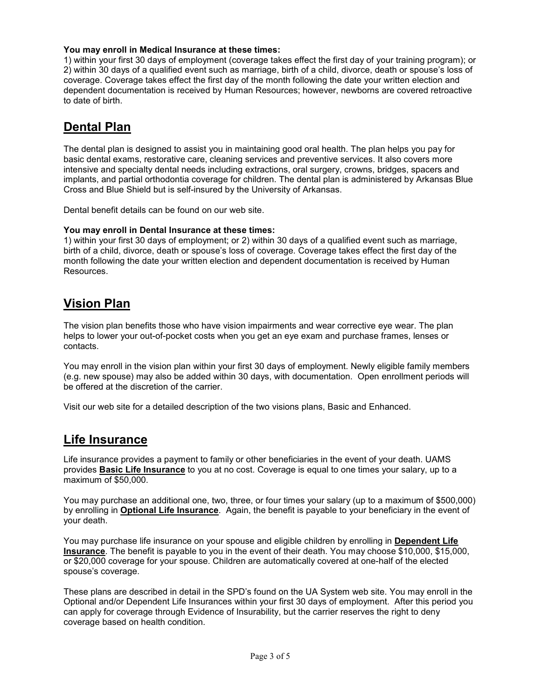#### **You may enroll in Medical Insurance at these times:**

1) within your first 30 days of employment (coverage takes effect the first day of your training program); or 2) within 30 days of a qualified event such as marriage, birth of a child, divorce, death or spouse's loss of coverage. Coverage takes effect the first day of the month following the date your written election and dependent documentation is received by Human Resources; however, newborns are covered retroactive to date of birth.

# **Dental Plan**

The dental plan is designed to assist you in maintaining good oral health. The plan helps you pay for basic dental exams, restorative care, cleaning services and preventive services. It also covers more intensive and specialty dental needs including extractions, oral surgery, crowns, bridges, spacers and implants, and partial orthodontia coverage for children. The dental plan is administered by Arkansas Blue Cross and Blue Shield but is self-insured by the University of Arkansas.

Dental benefit details can be found on our web site.

#### **You may enroll in Dental Insurance at these times:**

1) within your first 30 days of employment; or 2) within 30 days of a qualified event such as marriage, birth of a child, divorce, death or spouse's loss of coverage. Coverage takes effect the first day of the month following the date your written election and dependent documentation is received by Human Resources.

## **Vision Plan**

The vision plan benefits those who have vision impairments and wear corrective eye wear. The plan helps to lower your out-of-pocket costs when you get an eye exam and purchase frames, lenses or contacts.

You may enroll in the vision plan within your first 30 days of employment. Newly eligible family members (e.g. new spouse) may also be added within 30 days, with documentation. Open enrollment periods will be offered at the discretion of the carrier.

Visit our web site for a detailed description of the two visions plans, Basic and Enhanced.

## **Life Insurance**

Life insurance provides a payment to family or other beneficiaries in the event of your death. UAMS provides **Basic Life Insurance** to you at no cost. Coverage is equal to one times your salary, up to a maximum of \$50,000.

You may purchase an additional one, two, three, or four times your salary (up to a maximum of \$500,000) by enrolling in **Optional Life Insurance**. Again, the benefit is payable to your beneficiary in the event of your death.

You may purchase life insurance on your spouse and eligible children by enrolling in **Dependent Life Insurance**. The benefit is payable to you in the event of their death. You may choose \$10,000, \$15,000, or \$20,000 coverage for your spouse. Children are automatically covered at one-half of the elected spouse's coverage.

These plans are described in detail in the SPD's found on the UA System web site. You may enroll in the Optional and/or Dependent Life Insurances within your first 30 days of employment. After this period you can apply for coverage through Evidence of Insurability, but the carrier reserves the right to deny coverage based on health condition.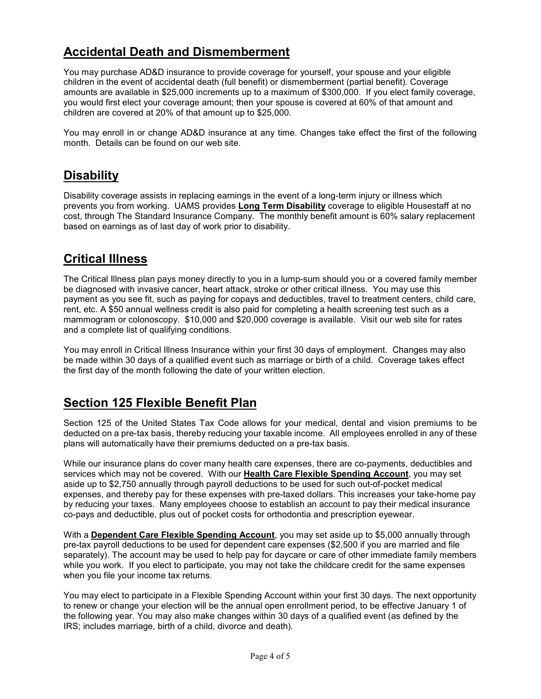# **Accidental Death and Dismemberment**

You may purchase AD&D insurance to provide coverage for yourself, your spouse and your eligible children in the event of accidental death (full benefit) or dismemberment (partial benefit). Coverage amounts are available in \$25,000 increments up to a maximum of \$300,000. If you elect family coverage, you would first elect your coverage amount; then your spouse is covered at 60% of that amount and children are covered at 20% of that amount up to \$25,000.

You may enroll in or change AD&D insurance at any time. Changes take effect the first of the following month. Details can be found on our web site.

## **Disability**

Disability coverage assists in replacing earnings in the event of a long-term injury or illness which prevents you from working. UAMS provides **Long Term Disability** coverage to eligible Housestaff at no cost, through The Standard Insurance Company. The monthly benefit amount is 60% salary replacement based on earnings as of last day of work prior to disability.

# **Critical Illness**

The Critical Illness plan pays money directly to you in a lump-sum should you or a covered family member be diagnosed with invasive cancer, heart attack, stroke or other critical illness. You may use this payment as you see fit, such as paying for copays and deductibles, travel to treatment centers, child care, rent, etc. A \$50 annual wellness credit is also paid for completing a health screening test such as a mammogram or colonoscopy. \$10,000 and \$20,000 coverage is available. Visit our web site for rates and a complete list of qualifying conditions.

You may enroll in Critical Illness Insurance within your first 30 days of employment. Changes may also be made within 30 days of a qualified event such as marriage or birth of a child. Coverage takes effect the first day of the month following the date of your written election.

# **Section 125 Flexible Benefit Plan**

Section 125 of the United States Tax Code allows for your medical, dental and vision premiums to be deducted on a pre-tax basis, thereby reducing your taxable income. All employees enrolled in any of these plans will automatically have their premiums deducted on a pre-tax basis.

While our insurance plans do cover many health care expenses, there are co-payments, deductibles and services which may not be covered. With our **Health Care Flexible Spending Account**, you may set aside up to \$2,750 annually through payroll deductions to be used for such out-of-pocket medical expenses, and thereby pay for these expenses with pre-taxed dollars. This increases your take-home pay by reducing your taxes. Many employees choose to establish an account to pay their medical insurance co-pays and deductible, plus out of pocket costs for orthodontia and prescription eyewear.

With a **Dependent Care Flexible Spending Account**, you may set aside up to \$5,000 annually through pre-tax payroll deductions to be used for dependent care expenses (\$2,500 if you are married and file separately). The account may be used to help pay for daycare or care of other immediate family members while you work. If you elect to participate, you may not take the childcare credit for the same expenses when you file your income tax returns.

You may elect to participate in a Flexible Spending Account within your first 30 days. The next opportunity to renew or change your election will be the annual open enrollment period, to be effective January 1 of the following year. You may also make changes within 30 days of a qualified event (as defined by the IRS; includes marriage, birth of a child, divorce and death).